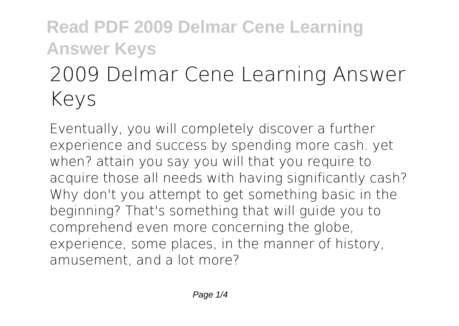# **2009 Delmar Cene Learning Answer Keys**

Eventually, you will completely discover a further experience and success by spending more cash. yet when? attain you say you will that you require to acquire those all needs with having significantly cash? Why don't you attempt to get something basic in the beginning? That's something that will guide you to comprehend even more concerning the globe, experience, some places, in the manner of history, amusement, and a lot more?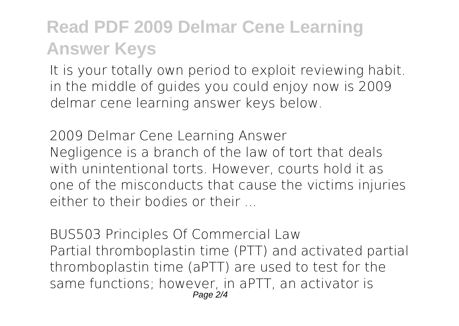It is your totally own period to exploit reviewing habit. in the middle of guides you could enjoy now is **2009 delmar cene learning answer keys** below.

**2009 Delmar Cene Learning Answer** Negligence is a branch of the law of tort that deals with unintentional torts. However, courts hold it as one of the misconducts that cause the victims injuries either to their bodies or their

**BUS503 Principles Of Commercial Law** Partial thromboplastin time (PTT) and activated partial thromboplastin time (aPTT) are used to test for the same functions; however, in aPTT, an activator is Page 2/4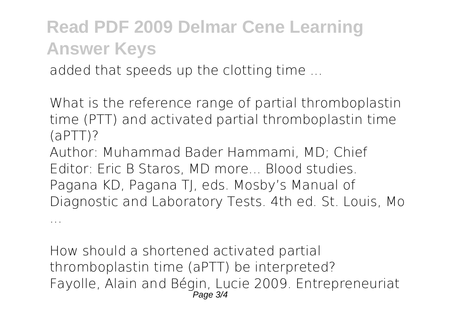added that speeds up the clotting time ...

...

**What is the reference range of partial thromboplastin time (PTT) and activated partial thromboplastin time (aPTT)?**

Author: Muhammad Bader Hammami, MD; Chief Editor: Eric B Staros, MD more... Blood studies. Pagana KD, Pagana TJ, eds. Mosby's Manual of Diagnostic and Laboratory Tests. 4th ed. St. Louis, Mo

**How should a shortened activated partial thromboplastin time (aPTT) be interpreted?** Fayolle, Alain and Bégin, Lucie 2009. Entrepreneuriat Page 3/4